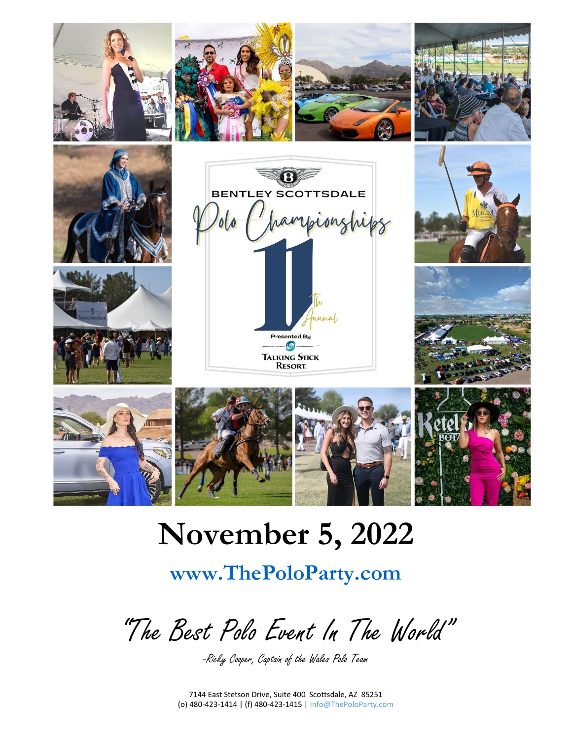

# **November 5, 2022**

# **www.ThePoloParty.com**

"The Best Polo Event In The World"

-Ricky Cooper, Captain of the Wales Polo Team

7144 East Stetson Drive, Suite 400 Scottsdale, AZ 85251 (o) 480-423-1414 | (f) 480-423-1415 | Info@ThePoloParty.com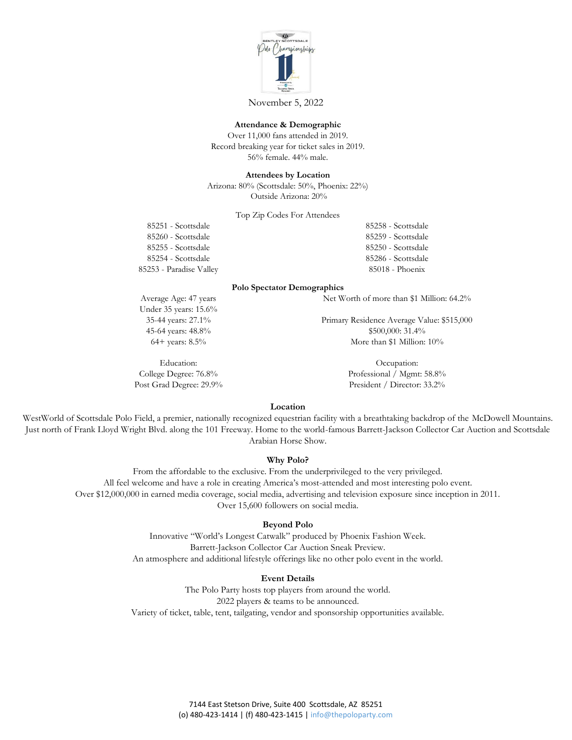

November 5, 2022

#### **Attendance & Demographic**

Over 11,000 fans attended in 2019. Record breaking year for ticket sales in 2019. 56% female. 44% male.

**Attendees by Location**

Arizona: 80% (Scottsdale: 50%, Phoenix: 22%) Outside Arizona: 20%

Top Zip Codes For Attendees

85251 - Scottsdale 85260 - Scottsdale 85255 - Scottsdale 85254 - Scottsdale 85253 - Paradise Valley

Average Age: 47 years

85258 - Scottsdale 85259 - Scottsdale 85250 - Scottsdale 85286 - Scottsdale 85018 - Phoenix

#### **Polo Spectator Demographics**

Net Worth of more than \$1 Million: 64.2%

Under 35 years: 15.6% 35-44 years: 27.1% 45-64 years: 48.8%

Education: College Degree: 76.8% Post Grad Degree: 29.9%

64+ years: 8.5%

Primary Residence Average Value: \$515,000 \$500,000: 31.4% More than \$1 Million: 10%

> Occupation: Professional / Mgmt: 58.8% President / Director: 33.2%

#### **Location**

WestWorld of Scottsdale Polo Field, a premier, nationally recognized equestrian facility with a breathtaking backdrop of the McDowell Mountains. Just north of Frank Lloyd Wright Blvd. along the 101 Freeway. Home to the world-famous Barrett-Jackson Collector Car Auction and Scottsdale Arabian Horse Show.

#### **Why Polo?**

From the affordable to the exclusive. From the underprivileged to the very privileged. All feel welcome and have a role in creating America's most-attended and most interesting polo event. Over \$12,000,000 in earned media coverage, social media, advertising and television exposure since inception in 2011. Over 15,600 followers on social media.

#### **Beyond Polo**

Innovative "World's Longest Catwalk" produced by Phoenix Fashion Week. Barrett-Jackson Collector Car Auction Sneak Preview. An atmosphere and additional lifestyle offerings like no other polo event in the world.

#### **Event Details**

The Polo Party hosts top players from around the world. 2022 players & teams to be announced. Variety of ticket, table, tent, tailgating, vendor and sponsorship opportunities available.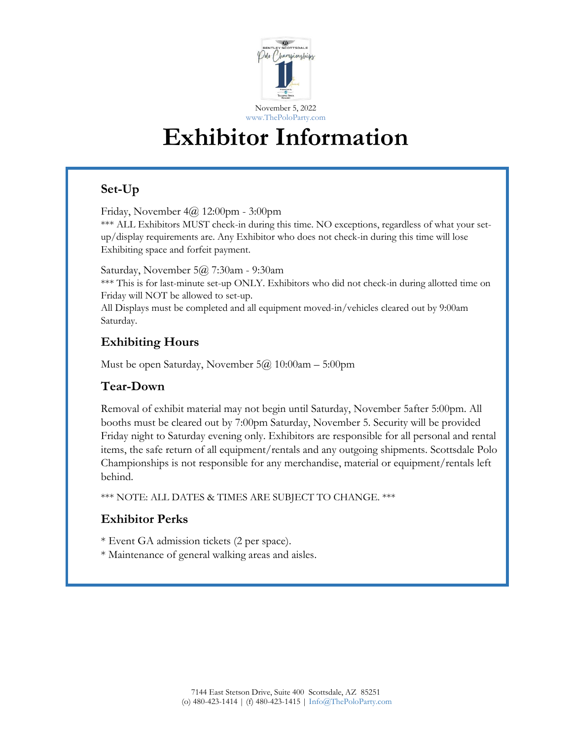

# **Exhibitor Information**

## **Set-Up**

Friday, November 4@ 12:00pm - 3:00pm

\*\*\* ALL Exhibitors MUST check-in during this time. NO exceptions, regardless of what your setup/display requirements are. Any Exhibitor who does not check-in during this time will lose Exhibiting space and forfeit payment.

Saturday, November 5@ 7:30am - 9:30am

\*\*\* This is for last-minute set-up ONLY. Exhibitors who did not check-in during allotted time on Friday will NOT be allowed to set-up.

All Displays must be completed and all equipment moved-in/vehicles cleared out by 9:00am Saturday.

## **Exhibiting Hours**

Must be open Saturday, November 5@ 10:00am – 5:00pm

## **Tear-Down**

Removal of exhibit material may not begin until Saturday, November 5after 5:00pm. All booths must be cleared out by 7:00pm Saturday, November 5. Security will be provided Friday night to Saturday evening only. Exhibitors are responsible for all personal and rental items, the safe return of all equipment/rentals and any outgoing shipments. Scottsdale Polo Championships is not responsible for any merchandise, material or equipment/rentals left behind.

\*\*\* NOTE: ALL DATES & TIMES ARE SUBJECT TO CHANGE. \*\*\*

## **Exhibitor Perks**

- \* Event GA admission tickets (2 per space).
- \* Maintenance of general walking areas and aisles.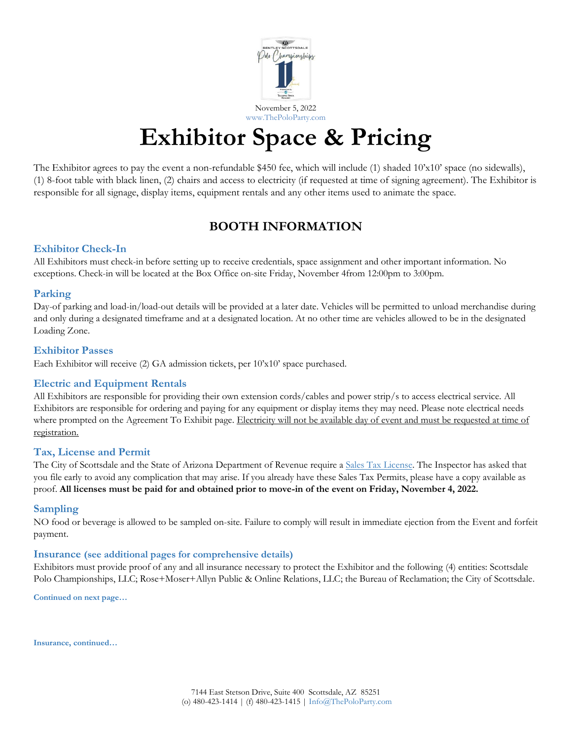

# **Exhibitor Space & Pricing**

The Exhibitor agrees to pay the event a non-refundable \$450 fee, which will include (1) shaded 10'x10' space (no sidewalls), (1) 8-foot table with black linen, (2) chairs and access to electricity (if requested at time of signing agreement). The Exhibitor is responsible for all signage, display items, equipment rentals and any other items used to animate the space.

## **BOOTH INFORMATION**

## **Exhibitor Check-In**

All Exhibitors must check-in before setting up to receive credentials, space assignment and other important information. No exceptions. Check-in will be located at the Box Office on-site Friday, November 4from 12:00pm to 3:00pm.

### **Parking**

Day-of parking and load-in/load-out details will be provided at a later date. Vehicles will be permitted to unload merchandise during and only during a designated timeframe and at a designated location. At no other time are vehicles allowed to be in the designated Loading Zone.

### **Exhibitor Passes**

Each Exhibitor will receive (2) GA admission tickets, per 10'x10' space purchased.

## **Electric and Equipment Rentals**

All Exhibitors are responsible for providing their own extension cords/cables and power strip/s to access electrical service. All Exhibitors are responsible for ordering and paying for any equipment or display items they may need. Please note electrical needs where prompted on the Agreement To Exhibit page. Electricity will not be available day of event and must be requested at time of registration.

### **Tax, License and Permit**

The City of Scottsdale and the State of Arizona Department of Revenue require a Sales Tax License. The Inspector has asked that you file early to avoid any complication that may arise. If you already have these Sales Tax Permits, please have a copy available as proof. **All licenses must be paid for and obtained prior to move-in of the event on Friday, November 4, 2022.**

### **Sampling**

NO food or beverage is allowed to be sampled on-site. Failure to comply will result in immediate ejection from the Event and forfeit payment.

### **Insurance (see additional pages for comprehensive details)**

Exhibitors must provide proof of any and all insurance necessary to protect the Exhibitor and the following (4) entities: Scottsdale Polo Championships, LLC; Rose+Moser+Allyn Public & Online Relations, LLC; the Bureau of Reclamation; the City of Scottsdale.

**Continued on next page…**

**Insurance, continued…**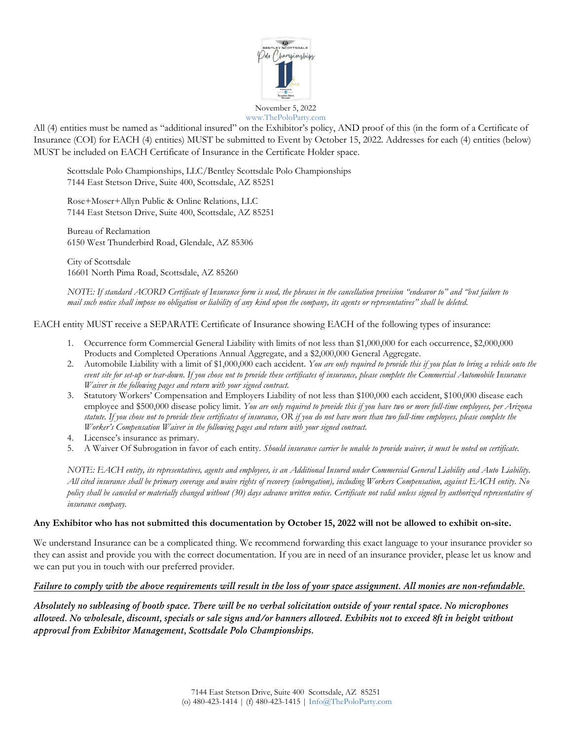

All (4) entities must be named as "additional insured" on the Exhibitor's policy, AND proof of this (in the form of a Certificate of Insurance (COI) for EACH (4) entities) MUST be submitted to Event by October 15, 2022. Addresses for each (4) entities (below) MUST be included on EACH Certificate of Insurance in the Certificate Holder space.

Scottsdale Polo Championships, LLC/Bentley Scottsdale Polo Championships 7144 East Stetson Drive, Suite 400, Scottsdale, AZ 85251

Rose+Moser+Allyn Public & Online Relations, LLC 7144 East Stetson Drive, Suite 400, Scottsdale, AZ 85251

Bureau of Reclamation 6150 West Thunderbird Road, Glendale, AZ 85306

City of Scottsdale 16601 North Pima Road, Scottsdale, AZ 85260

*NOTE: If standard ACORD Certificate of Insurance form is used, the phrases in the cancellation provision "endeavor to" and "but failure to mail such notice shall impose no obligation or liability of any kind upon the company, its agents or representatives" shall be deleted.* 

EACH entity MUST receive a SEPARATE Certificate of Insurance showing EACH of the following types of insurance:

- 1. Occurrence form Commercial General Liability with limits of not less than \$1,000,000 for each occurrence, \$2,000,000 Products and Completed Operations Annual Aggregate, and a \$2,000,000 General Aggregate.
- 2. Automobile Liability with a limit of \$1,000,000 each accident. *You are only required to provide this if you plan to bring a vehicle onto the event site for set-up or tear-down. If you chose not to provide these certificates of insurance, please complete the Commercial Automobile Insurance Waiver in the following pages and return with your signed contract.*
- 3. Statutory Workers' Compensation and Employers Liability of not less than \$100,000 each accident, \$100,000 disease each employee and \$500,000 disease policy limit. *You are only required to provide this if you have two or more full-time employees, per Arizona statute. If you chose not to provide these certificates of insurance, OR if you do not have more than two full-time employees, please complete the Worker's Compensation Waiver in the following pages and return with your signed contract.*
- 4. Licensee's insurance as primary.
- 5. A Waiver Of Subrogation in favor of each entity. *Should insurance carrier be unable to provide waiver, it must be noted on certificate.*

*NOTE: EACH entity, its representatives, agents and employees, is an Additional Insured under Commercial General Liability and Auto Liability. All cited insurance shall be primary coverage and waive rights of recovery (subrogation), including Workers Compensation, against EACH entity. No policy shall be canceled or materially changed without (30) days advance written notice. Certificate not valid unless signed by authorized representative of insurance company.* 

### **Any Exhibitor who has not submitted this documentation by October 15, 2022 will not be allowed to exhibit on-site.**

We understand Insurance can be a complicated thing. We recommend forwarding this exact language to your insurance provider so they can assist and provide you with the correct documentation. If you are in need of an insurance provider, please let us know and we can put you in touch with our preferred provider.

### *Failure to comply with the above requirements will result in the loss of your space assignment. All monies are non-refundable.*

*Absolutely no subleasing of booth space. There will be no verbal solicitation outside of your rental space. No microphones allowed. No wholesale, discount, specials or sale signs and/or banners allowed. Exhibits not to exceed 8ft in height without approval from Exhibitor Management, Scottsdale Polo Championships.*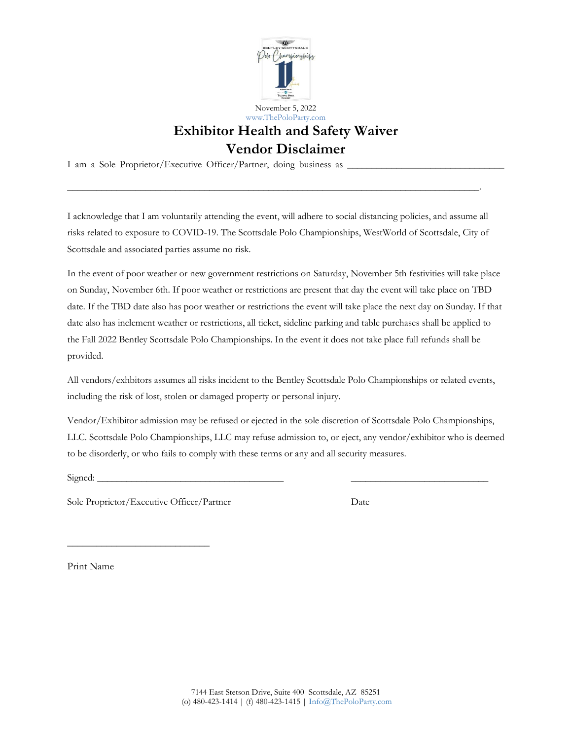

## **Exhibitor Health and Safety Waiver Vendor Disclaimer**

I am a Sole Proprietor/Executive Officer/Partner, doing business as

I acknowledge that I am voluntarily attending the event, will adhere to social distancing policies, and assume all risks related to exposure to COVID-19. The Scottsdale Polo Championships, WestWorld of Scottsdale, City of Scottsdale and associated parties assume no risk.

 $\overline{\phantom{a}}$  , and the contribution of the contribution of the contribution of the contribution of the contribution of the contribution of the contribution of the contribution of the contribution of the contribution of the

In the event of poor weather or new government restrictions on Saturday, November 5th festivities will take place on Sunday, November 6th. If poor weather or restrictions are present that day the event will take place on TBD date. If the TBD date also has poor weather or restrictions the event will take place the next day on Sunday. If that date also has inclement weather or restrictions, all ticket, sideline parking and table purchases shall be applied to the Fall 2022 Bentley Scottsdale Polo Championships. In the event it does not take place full refunds shall be provided.

All vendors/exhbitors assumes all risks incident to the Bentley Scottsdale Polo Championships or related events, including the risk of lost, stolen or damaged property or personal injury.

Vendor/Exhibitor admission may be refused or ejected in the sole discretion of Scottsdale Polo Championships, LLC. Scottsdale Polo Championships, LLC may refuse admission to, or eject, any vendor/exhibitor who is deemed to be disorderly, or who fails to comply with these terms or any and all security measures.

Signed: \_\_\_\_\_\_\_\_\_\_\_\_\_\_\_\_\_\_\_\_\_\_\_\_\_\_\_\_\_\_\_\_\_\_\_\_\_\_ \_\_\_\_\_\_\_\_\_\_\_\_\_\_\_\_\_\_\_\_\_\_\_\_\_\_\_\_

Sole Proprietor/Executive Officer/Partner Date

\_\_\_\_\_\_\_\_\_\_\_\_\_\_\_\_\_\_\_\_\_\_\_\_\_\_\_\_\_

Print Name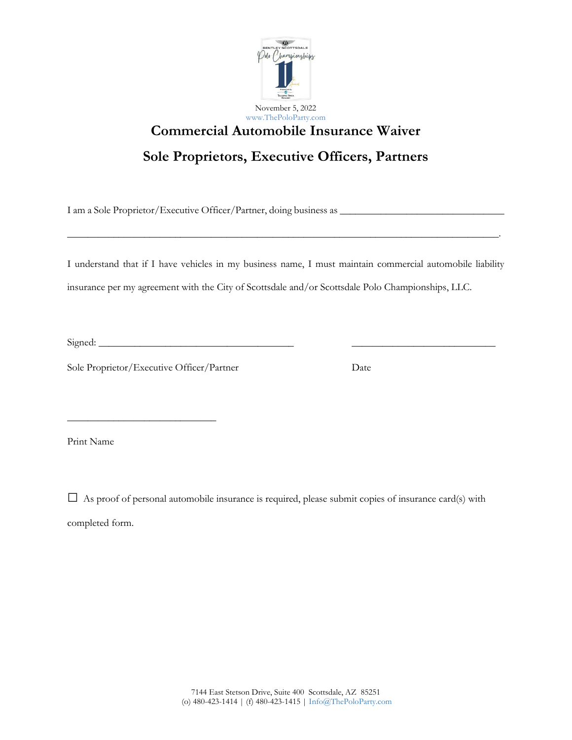

# **Commercial Automobile Insurance Waiver**

## **Sole Proprietors, Executive Officers, Partners**

I am a Sole Proprietor/Executive Officer/Partner, doing business as \_\_\_\_\_\_\_\_\_\_\_\_\_\_\_\_\_\_\_\_\_\_\_\_\_\_\_\_\_\_\_\_

I understand that if I have vehicles in my business name, I must maintain commercial automobile liability insurance per my agreement with the City of Scottsdale and/or Scottsdale Polo Championships, LLC.

\_\_\_\_\_\_\_\_\_\_\_\_\_\_\_\_\_\_\_\_\_\_\_\_\_\_\_\_\_\_\_\_\_\_\_\_\_\_\_\_\_\_\_\_\_\_\_\_\_\_\_\_\_\_\_\_\_\_\_\_\_\_\_\_\_\_\_\_\_\_\_\_\_\_\_\_\_\_\_\_\_\_\_\_.

 $Signed:$ 

Sole Proprietor/Executive Officer/Partner Date

 $\frac{1}{2}$  ,  $\frac{1}{2}$  ,  $\frac{1}{2}$  ,  $\frac{1}{2}$  ,  $\frac{1}{2}$  ,  $\frac{1}{2}$  ,  $\frac{1}{2}$  ,  $\frac{1}{2}$  ,  $\frac{1}{2}$  ,  $\frac{1}{2}$  ,  $\frac{1}{2}$  ,  $\frac{1}{2}$  ,  $\frac{1}{2}$  ,  $\frac{1}{2}$  ,  $\frac{1}{2}$  ,  $\frac{1}{2}$  ,  $\frac{1}{2}$  ,  $\frac{1}{2}$  ,  $\frac{1$ 

Print Name

 $\Box$  As proof of personal automobile insurance is required, please submit copies of insurance card(s) with completed form.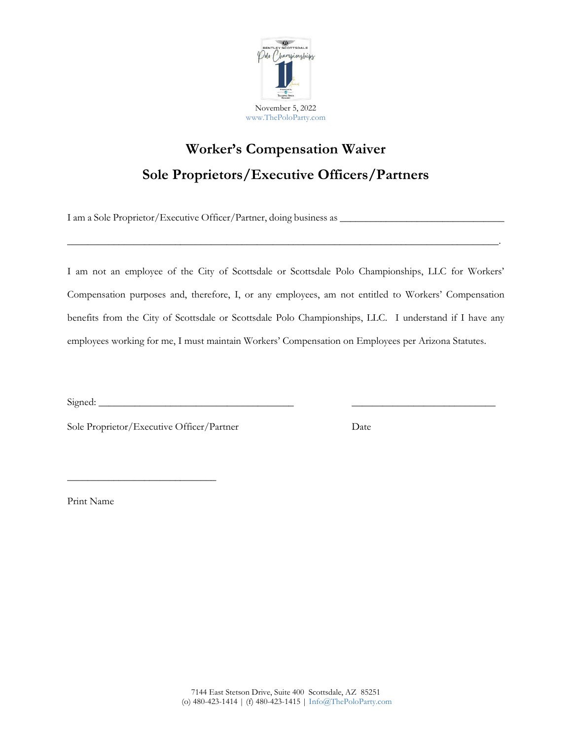

# **Worker's Compensation Waiver Sole Proprietors/Executive Officers/Partners**

I am a Sole Proprietor/Executive Officer/Partner, doing business as \_\_\_\_\_\_\_\_\_\_\_\_\_\_\_\_\_\_\_\_\_\_\_\_\_\_\_\_\_\_\_\_

I am not an employee of the City of Scottsdale or Scottsdale Polo Championships, LLC for Workers' Compensation purposes and, therefore, I, or any employees, am not entitled to Workers' Compensation benefits from the City of Scottsdale or Scottsdale Polo Championships, LLC. I understand if I have any employees working for me, I must maintain Workers' Compensation on Employees per Arizona Statutes.

\_\_\_\_\_\_\_\_\_\_\_\_\_\_\_\_\_\_\_\_\_\_\_\_\_\_\_\_\_\_\_\_\_\_\_\_\_\_\_\_\_\_\_\_\_\_\_\_\_\_\_\_\_\_\_\_\_\_\_\_\_\_\_\_\_\_\_\_\_\_\_\_\_\_\_\_\_\_\_\_\_\_\_\_.

 $Signed:$ 

\_\_\_\_\_\_\_\_\_\_\_\_\_\_\_\_\_\_\_\_\_\_\_\_\_\_\_\_\_

Sole Proprietor/Executive Officer/Partner Date

Print Name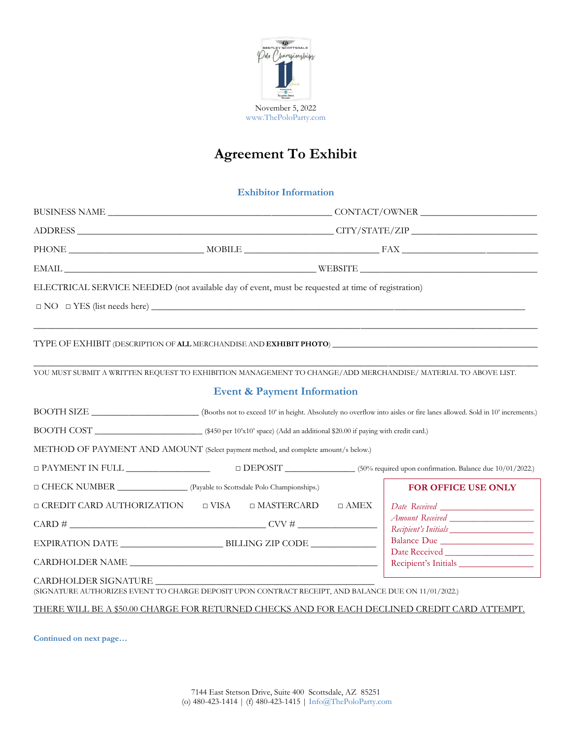

# **Agreement To Exhibit**

#### **Exhibitor Information**

| ELECTRICAL SERVICE NEEDED (not available day of event, must be requested at time of registration)                            |                                                                                                                                                            |                      |                            |
|------------------------------------------------------------------------------------------------------------------------------|------------------------------------------------------------------------------------------------------------------------------------------------------------|----------------------|----------------------------|
|                                                                                                                              |                                                                                                                                                            |                      |                            |
|                                                                                                                              |                                                                                                                                                            |                      |                            |
| YOU MUST SUBMIT A WRITTEN REQUEST TO EXHIBITION MANAGEMENT TO CHANGE/ADD MERCHANDISE/ MATERIAL TO ABOVE LIST.                |                                                                                                                                                            |                      |                            |
|                                                                                                                              | <b>Event &amp; Payment Information</b>                                                                                                                     |                      |                            |
|                                                                                                                              | BOOTH SIZE ________________________(Booths not to exceed 10' in height. Absolutely no overflow into aisles or fire lanes allowed. Sold in 10' increments.) |                      |                            |
|                                                                                                                              |                                                                                                                                                            |                      |                            |
| METHOD OF PAYMENT AND AMOUNT (Select payment method, and complete amount/s below.)                                           |                                                                                                                                                            |                      |                            |
| $\Box$ PAYMENT IN FULL $\Box$ $\Box$ $\Box$ DEPOSIT $\Box$ (50% required upon confirmation. Balance due 10/01/2022.)         |                                                                                                                                                            |                      |                            |
| □ CHECK NUMBER ________________ (Payable to Scottsdale Polo Championships.)                                                  |                                                                                                                                                            |                      | <b>FOR OFFICE USE ONLY</b> |
| $\square$ CREDIT CARD AUTHORIZATION $\square$ VISA $\square$ MASTERCARD $\square$ AMEX                                       |                                                                                                                                                            |                      |                            |
|                                                                                                                              |                                                                                                                                                            |                      | Recipient's Initials       |
|                                                                                                                              |                                                                                                                                                            |                      |                            |
| CARDHOLDER NAME                                                                                                              |                                                                                                                                                            | Recipient's Initials |                            |
| CARDHOLDER SIGNATURE<br>(SIGNATURE AUTHORIZES EVENT TO CHARGE DEPOSIT UPON CONTRACT RECEIPT, AND BALANCE DUE ON 11/01/2022.) |                                                                                                                                                            |                      |                            |
| THERE WILL BE A \$50.00 CHARGE FOR RETURNED CHECKS AND FOR EACH DECLINED CREDIT CARD ATTEMPT.                                |                                                                                                                                                            |                      |                            |

**Continued on next page…**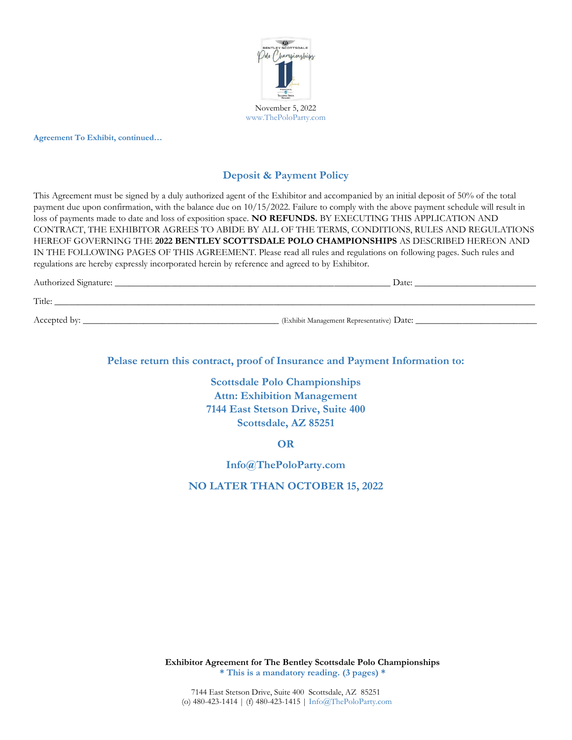

**Agreement To Exhibit, continued…**

## **Deposit & Payment Policy**

This Agreement must be signed by a duly authorized agent of the Exhibitor and accompanied by an initial deposit of 50% of the total payment due upon confirmation, with the balance due on 10/15/2022. Failure to comply with the above payment schedule will result in loss of payments made to date and loss of exposition space. **NO REFUNDS.** BY EXECUTING THIS APPLICATION AND CONTRACT, THE EXHIBITOR AGREES TO ABIDE BY ALL OF THE TERMS, CONDITIONS, RULES AND REGULATIONS HEREOF GOVERNING THE **2022 BENTLEY SCOTTSDALE POLO CHAMPIONSHIPS** AS DESCRIBED HEREON AND IN THE FOLLOWING PAGES OF THIS AGREEMENT. Please read all rules and regulations on following pages. Such rules and regulations are hereby expressly incorporated herein by reference and agreed to by Exhibitor.

| Authorized Signature: | Date:                                     |
|-----------------------|-------------------------------------------|
| Title:                |                                           |
| Accepted by:          | (Exhibit Management Representative) Date: |

**Pelase return this contract, proof of Insurance and Payment Information to:**

**Scottsdale Polo Championships Attn: Exhibition Management 7144 East Stetson Drive, Suite 400 Scottsdale, AZ 85251**

**OR**

**Info@ThePoloParty.com**

**NO LATER THAN OCTOBER 15, 2022**

**Exhibitor Agreement for The Bentley Scottsdale Polo Championships \* This is a mandatory reading. (3 pages) \***

7144 East Stetson Drive, Suite 400 Scottsdale, AZ 85251 (o) 480-423-1414 | (f) 480-423-1415 | Info@ThePoloParty.com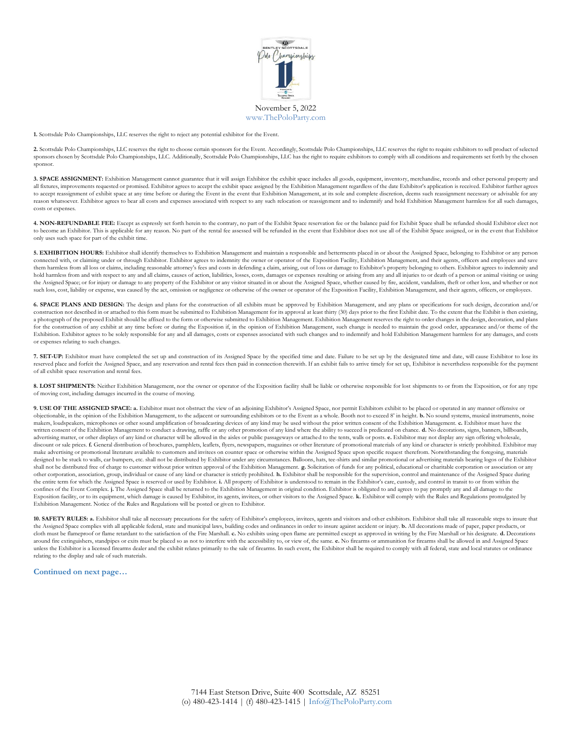

**1.** Scottsdale Polo Championships, LLC reserves the right to reject any potential exhibitor for the Event.

**2.** Scottsdale Polo Championships, LLC reserves the right to choose certain sponsors for the Event. Accordingly, Scottsdale Polo Championships, LLC reserves the right to require exhibitors to sell product of selected sponsors chosen by Scottsdale Polo Championships, LLC. Additionally, Scottsdale Polo Championships, LLC has the right to require exhibitors to comply with all conditions and requirements set forth by the chosen sponsor.

**3. SPACE ASSIGNMENT:** Exhibition Management cannot guarantee that it will assign Exhibitor the exhibit space includes all goods, equipment, inventory, merchandise, records and other personal property and all fixtures, improvements requested or promised. Exhibitor agrees to accept the exhibit space assigned by the Exhibition Management regardless of the date Exhibitor's application is received. Exhibitor further agrees to accept reassignment of exhibit space at any time before or during the Event in the event that Exhibition Management, at its sole and complete discretion, deems such reassignment necessary or advisable for any reason whatsoever. Exhibitor agrees to bear all costs and expenses associated with respect to any such relocation or reassignment and to indemnify and hold Exhibition Management harmless for all such damages, costs or expenses.

4. NON-REFUNDABLE FEE: Except as expressly set forth herein to the contrary, no part of the Exhibit Space reservation fee or the balance paid for Exhibit Space shall be refunded should Exhibitor elect not to become an Exhibitor. This is applicable for any reason. No part of the rental fee assessed will be refunded in the event that Exhibitor does not use all of the Exhibit Space assigned, or in the event that Exhibitor only uses such space for part of the exhibit time.

**5. EXHIBITION HOURS:** Exhibitor shall identify themselves to Exhibition Management and maintain a responsible and betterments placed in or about the Assigned Space, belonging to Exhibitor or any person connected with, or claiming under or through Exhibitor. Exhibitor agrees to indemnity the owner or operator of the Exposition Facility, Exhibition Management, and their agents, officers and employees and save them harmless from all loss or claims, including reasonable attorney's fees and costs in defending a claim, arising, out of loss or damage to Exhibitor's property belonging to others. Exhibitor agrees to indemnity and hold harmless from and with respect to any and all claims, causes of action, liabilities, losses, costs, damages or expenses resulting or arising from any and all injuries to or death of a person or animal visiting or usin the Assigned Space; or for injury or damage to any property of the Exhibitor or any visitor situated in or about the Assigned Space, whether caused by fire, accident, vandalism, theft or other loss, and whether or not such loss, cost, liability or expense, was caused by the act, omission or negligence or otherwise of the owner or operator of the Exposition Facility, Exhibition Management, and their agents, officers, or employees.

**6. SPACE PLANS AND DESIGN:** The design and plans for the construction of all exhibits must be approved by Exhibition Management, and any plans or specifications for such design, decoration and/or construction not described in or attached to this form must be submitted to Exhibition Management for its approval at least thirty (30) days prior to the first Exhibit date. To the extent that the Exhibit is then existing, a photograph of the proposed Exhibit should be affixed to the form or otherwise submitted to Exhibition Management. Exhibition Management reserves the right to order changes in the design, decoration, and plans for the construction of any exhibit at any time before or during the Exposition if, in the opinion of Exhibition Management, such change is needed to maintain the good order, appearance and/or theme of the Exhibition. Exhibitor agrees to be solely responsible for any and all damages, costs or expenses associated with such changes and to indemnify and hold Exhibition Management harmless for any damages, and costs or expenses relating to such changes.

**7. SET-UP:** Exhibitor must have completed the set up and construction of its Assigned Space by the specified time and date. Failure to be set up by the designated time and date, will cause Exhibitor to lose its reserved place and forfeit the Assigned Space, and any reservation and rental fees then paid in connection therewith. If an exhibit fails to arrive timely for set up, Exhibitor is nevertheless responsible for the payment of all exhibit space reservation and rental fees.

8. LOST SHIPMENTS: Neither Exhibition Management, nor the owner or operator of the Exposition facility shall be liable or otherwise responsible for lost shipments to or from the Exposition, or for any type of moving cost, including damages incurred in the course of moving.

**9. USE OF THE ASSIGNED SPACE: a.** Exhibitor must not obstruct the view of an adjoining Exhibitor's Assigned Space, nor permit Exhibitors exhibit to be placed or operated in any manner offensive or objectionable, in the opinion of the Exhibition Management, to the adjacent or surrounding exhibitors or to the Event as a whole. Booth not to exceed 8' in height. **b.** No sound systems, musical instruments, noise makers, loudspeakers, microphones or other sound amplification of broadcasting devices of any kind may be used without the prior written consent of the Exhibition Management. **c.** Exhibitor must have the written consent of the Exhibition Management to conduct a drawing, raffle or any other promotion of any kind where the ability to succeed is predicated on chance. **d.** No decorations, signs, banners, billboards, advertising matter, or other displays of any kind or character will be allowed in the aisles or public passageways or attached to the tents, walls or posts. **e.** Exhibitor may not display any sign offering wholesale, discount or sale prices. f. General distribution of brochures, pamphlets, leaflets, flyers, newspapers, magazines or other literature of promotional materials of any kind or character is strictly prohibited. Exhibitor may make advertising or promotional literature available to customers and invitees on counter space or otherwise within the Assigned Space upon specific request therefrom. Notwithstanding the foregoing, materials designed to be stuck to walls, car bumpers, etc. shall not be distributed by Exhibitor under any circumstances. Balloons, hats, tee-shirts and similar promotional or advertising materials bearing logos of the Exhibitor shall not be distributed free of charge to customer without prior written approval of the Exhibition Management. **g.** Solicitation of funds for any political, educational or charitable corporation or association or any other corporation, association, group, individual or cause of any kind or character is strictly prohibited. **h.** Exhibitor shall be responsible for the supervision, control and maintenance of the Assigned Space during<br>the confines of the Event Complex. **j.** The Assigned Space shall be returned to the Exhibition Management in original condition. Exhibitor is obligated to and agrees to pay promptly any and all damage to the Exposition facility, or to its equipment, which damage is caused by Exhibitor, its agents, invitees, or other visitors to the Assigned Space. **k.** Exhibitor will comply with the Rules and Regulations promulgated by Exhibition Management. Notice of the Rules and Regulations will be posted or given to Exhibitor.

**10. SAFETY RULES: a.** Exhibitor shall take all necessary precautions for the safety of Exhibitor's employees, invitees, agents and visitors and other exhibitors. Exhibitor shall take all reasonable steps to insure that the Assigned Space complies with all applicable federal, state and municipal laws, building codes and ordinances in order to insure against accident or injury. **b.** All decorations made of paper, paper products, or cloth must be flameproof or flame retardant to the satisfaction of the Fire Marshall. c. No exhibits using open flame are permitted except as approved in writing by the Fire Marshall or his designate. d. Decorations around fire extinguishers, standpipes or exits must be placed so as not to interfere with the accessibility to, or view of, the same. **e.** No firearms or ammunition for firearms shall be allowed in and Assigned Space unless the Exhibitor is a licensed firearms dealer and the exhibit relates primarily to the sale of firearms. In such event, the Exhibitor shall be required to comply with all federal, state and local statutes or ordinance relating to the display and sale of such materials.

#### **Continued on next page…**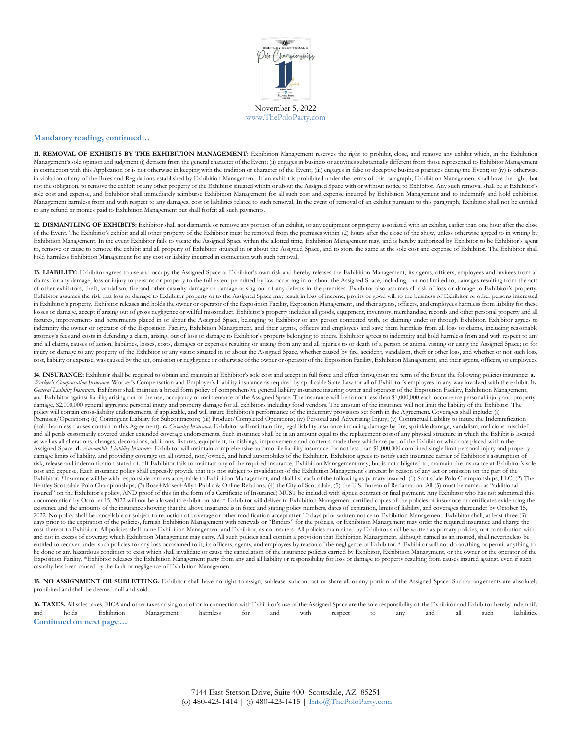

#### **Mandatory reading, continued…**

**11. REMOVAL OF EXHIBITS BY THE EXHIBITION MANAGEMENT:** Exhibition Management reserves the right to prohibit, close, and remove any exhibit which, in the Exhibition Management's sole opinion and judgment (i) detracts from the general character of the Event; (ii) engages in business or activities substantially different from those represented to Exhibitor Management in connection with this Application or is not otherwise in keeping with the tradition or character of the Event; (iii) engages in false or deceptive business practices during the Event; or (iv) is otherwise in violation of any of the Rules and Regulations established by Exhibition Management. If an exhibit is prohibited under the terms of this paragraph, Exhibition Management shall have the right, but not the obligation, to remove the exhibit or any other property of the Exhibitor situated within or about the Assigned Space with or without notice to Exhibitor. Any such removal shall be at Exhibitor's sole cost and expense, and Exhibitor shall immediately reimburse Exhibition Management for all such cost and expense incurred by Exhibition Management and to indemnify and hold exhibition Management harmless from and with respect to any damages, cost or liabilities related to such removal. In the event of removal of an exhibit pursuant to this paragraph, Exhibitor shall not be entitled to any refund or monies paid to Exhibition Management but shall forfeit all such payments.

12. DISMANTLING OF EXHIBITS: Exhibitor shall not dismantle or remove any portion of an exhibit, or any equipment or property associated with an exhibit, earlier than one hour after the close of the Event. The Exhibitor's exhibit and all other property of the Exhibitor must be removed from the premises within (2) hours after the close of the show, unless otherwise agreed to in writing by Exhibition Management. In the event Exhibitor fails to vacate the Assigned Space within the allotted time, Exhibition Management may, and is hereby authorized by Exhibitor to be Exhibitor's agent to, remove or cause to remove the exhibit and all property of Exhibitor situated in or about the Assigned Space, and to store the same at the sole cost and expense of Exhibitor. The Exhibitor shall hold harmless Exhibition Management for any cost or liability incurred in connection with such removal.

13. LIABILITY: Exhibitor agrees to use and occupy the Assigned Space at Exhibitor's own risk and hereby releases the Exhibition Management, its agents, officers, employees and invitees from all claims for any damage, loss or injury to persons or property to the full extent permitted by law occurring in or about the Assigned Space, including, but not limited to, damages resulting from the acts of other exhibitors, theft, vandalism, fire and other casualty damage or damage arising out of any defects in the premises. Exhibitor also assumes all risk of loss or damage to Exhibitor's property. Exhibitor assumes the risk that loss or damage to Exhibitor property or to the Assigned Space may result in loss of income, profits or good will to the business of Exhibitor or other persons interested in Exhibitor's property. Exhibitor releases and holds the owner or operator of the Exposition Facility, Exposition Management, and their agents, officers, and employees harmless from liability for these losses or damage, accept if arising out of gross negligence or willful misconduct. Exhibitor's property includes all goods, equipment, inventory, merchandise, records and other personal property and all fixtures, improvements and betterments placed in or about the Assigned Space, belonging to Exhibitor or any person connected with, or claiming under or through Exhibitor. Exhibitor agrees to indemnity the owner or operator of the Exposition Facility, Exhibition Management, and their agents, officers and employees and save them harmless from all loss or claims, including reasonable attorney's fees and costs in defending a claim, arising, out of loss or damage to Exhibitor's property belonging to others. Exhibitor agrees to indemnity and hold harmless from and with respect to any and all claims, causes of action, liabilities, losses, costs, damages or expenses resulting or arising from any and all injuries to or death of a person or animal visiting or using the Assigned Space; or for injury or damage to any property of the Exhibitor or any visitor situated in or about the Assigned Space, whether caused by fire, accident, vandalism, theft or other loss, and whether or not such loss, cost, liability or expense, was caused by the act, omission or negligence or otherwise of the owner or operator of the Exposition Facility, Exhibition Management, and their agents, officers, or employees.

**14. INSURANCE:** Exhibitor shall be required to obtain and maintain at Exhibitor's sole cost and accept in full force and effect throughout the term of the Event the following policies insurance: **a.** *Worker's Compensation Insurance.* Worker's Compensation and Employer's Liability insurance as required by applicable State Law for all of Exhibitor's employees in any way involved with the exhibit. **b.** *General Liability Insurance.* Exhibitor shall maintain a broad form policy of comprehensive general liability insurance insuring owner and operator of the Exposition Facility, Exhibition Management, and Exhibitor against liability arising out of the use, occupancy or maintenance of the Assigned Space. The insurance will be for not less than \$1,000,000 each occurrence personal injury and property damage, \$2,000,000 general aggregate personal injury and property damage for all exhibitors including food vendors. The amount of the insurance will not limit the liability of the Exhibitor. The policy will contain cross-liability endorsements, if applicable, and will insure Exhibitor's performance of the indemnity provisions set forth in the Agreement. Coverages shall include: (i) Premises/Operations; (ii) Contingent Liability for Subcontractors; (iii) Product/Completed Operations; (iv) Personal and Advertising Injury; (v) Contractual Liability to insure the Indemnification (hold-harmless clauses contain in this Agreement). **c.** *Casualty Insurance.* Exhibitor will maintain fire, legal liability insurance including damage by fire, sprinkle damage, vandalism, malicious mischief and all perils customarily covered under extended coverage endorsements. Such insurance shall be in an amount equal to the replacement cost of any physical structure in which the Exhibit is located as well as all alterations, changes, decorations, additions, fixtures, equipment, furnishings, improvements and contents made there which are part of the Exhibit or which are placed within the Assigned Space. **d.** *Automobile Liability Insurance.* Exhibitor will maintain comprehensive automobile liability insurance for not less than \$1,000,000 combined single limit personal injury and property damage limits of liability, and providing coverage on all owned, non/owned, and hired automobiles of the Exhibitor. Exhibitor agrees to notify each insurance carrier of Exhibitor's assumption of risk, release and indemnification stated of. \*If Exhibitor fails to maintain any of the required insurance, Exhibition Management may, but is not obligated to, maintain the insurance at Exhibitor's sole cost and expense. Each insurance policy shall expressly provide that it is not subject to invalidation of the Exhibition Management's interest by reason of any act or omission on the part of the Exhibitor. \*Insurance will be with responsible carriers acceptable to Exhibition Management, and shall list each of the following as primary insured: (1) Scottsdale Polo Championships, LLC; (2) The Bentley Scottsdale Polo Championships; (3) Rose+Moser+Allyn Public & Online Relations; (4) the City of Scottsdale; (5) the U.S. Bureau of Reclamation. All (5) must be named as "additional insured" on the Exhibitor's policy, AND proof of this (in the form of a Certificate of Insurance) MUST be included with signed contract or final payment. Any Exhibitor who has not submitted this documentation by October 15, 2022 will not be allowed to exhibit on-site. \* Exhibitor will deliver to Exhibition Management certified copies of the policies of insurance or certificates evidencing the existence and the amounts of the insurance showing that the above insurance is in force and stating policy numbers, dates of expiration, limits of liability, and coverages thereunder by October 15, 2022. No policy shall be cancellable or subject to reduction of coverage or other modification accept after 10 days prior written notice to Exhibition Management. Exhibitor shall, at least three (3) days prior to the expiration of the policies, furnish Exhibition Management with renewals or "Binders" for the policies, or Exhibition Management may order the required insurance and charge the cost thereof to Exhibitor. All policies shall name Exhibition Management and Exhibitor, as co-insurers. All policies maintained by Exhibitor shall be written as primary policies, not contribution with and not in excess of coverage which Exhibition Management may carry. All such policies shall contain a provision that Exhibition Management, although named as an insured, shall nevertheless be entitled to recover under such policies for any loss occasioned to it, its officers, agents, and employees by reason of the negligence of Exhibitor. \* Exhibitor will not do anything or permit anything to be done or any hazardous condition to exist which shall invalidate or cause the cancellation of the insurance policies carried by Exhibitor, Exhibition Management, or the owner or the operator of the Exposition Facility. \*Exhibitor releases the Exhibition Management party from any and all liability or responsibility for loss or damage to property resulting from causes insured against, even if such casualty has been caused by the fault or negligence of Exhibition Management.

15. NO ASSIGNMENT OR SUBLETTING. Exhibitor shall have no right to assign, sublease, subcontract or share all or any portion of the Assigned Space. Such arrangements are absolutely prohibited and shall be deemed null and void.

**16. TAXES.** All sales taxes, FICA and other taxes arising out of or in connection with Exhibitor's use of the Assigned Space are the sole responsibility of the Exhibitor and Exhibitor hereby indemnify and holds Exhibiton and holds Exhibition Management harmless for and with respect to any and all such liabilities. **Continued on next page…**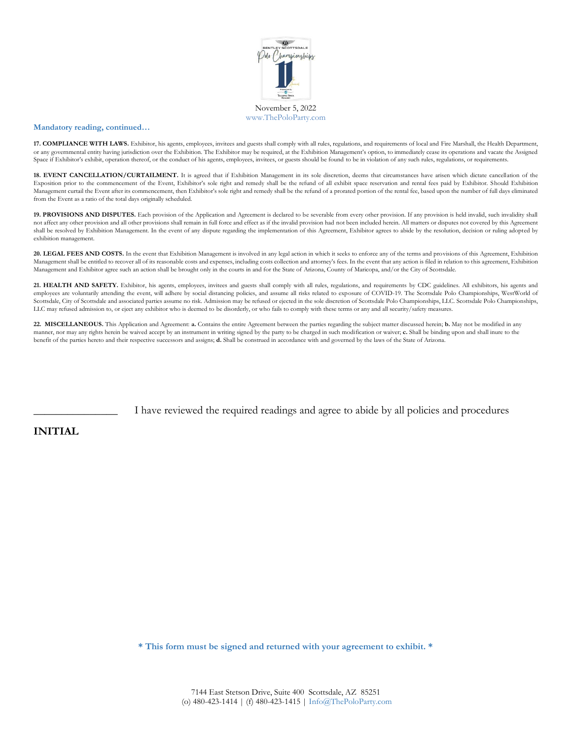

#### **Mandatory reading, continued…**

**17. COMPLIANCE WITH LAWS.** Exhibitor, his agents, employees, invitees and guests shall comply with all rules, regulations, and requirements of local and Fire Marshall, the Health Department, or any governmental entity having jurisdiction over the Exhibition. The Exhibitor may be required, at the Exhibition Management's option, to immediately cease its operations and vacate the Assigned Space if Exhibitor's exhibit, operation thereof, or the conduct of his agents, employees, invitees, or guests should be found to be in violation of any such rules, regulations, or requirements.

18. EVENT CANCELLATION/CURTAILMENT. It is agreed that if Exhibition Management in its sole discretion, deems that circumstances have arisen which dictate cancellation of the Exposition prior to the commencement of the Event, Exhibitor's sole right and remedy shall be the refund of all exhibit space reservation and rental fees paid by Exhibitor. Should Exhibition Management curtail the Event after its commencement, then Exhibitor's sole right and remedy shall be the refund of a prorated portion of the rental fee, based upon the number of full days eliminated from the Event as a ratio of the total days originally scheduled.

19. PROVISIONS AND DISPUTES. Each provision of the Application and Agreement is declared to be severable from every other provision. If any provision is held invalid, such invalidity shall not affect any other provision and all other provisions shall remain in full force and effect as if the invalid provision had not been included herein. All matters or disputes not covered by this Agreement shall be resolved by Exhibition Management. In the event of any dispute regarding the implementation of this Agreement, Exhibitor agrees to abide by the resolution, decision or ruling adopted by exhibition management.

20. LEGAL FEES AND COSTS. In the event that Exhibition Management is involved in any legal action in which it seeks to enforce any of the terms and provisions of this Agreement, Exhibition Management shall be entitled to recover all of its reasonable costs and expenses, including costs collection and attorney's fees. In the event that any action is filed in relation to this agreement, Exhibition Management and Exhibitor agree such an action shall be brought only in the courts in and for the State of Arizona, County of Maricopa, and/or the City of Scottsdale.

**21. HEALTH AND SAFETY.** Exhibitor, his agents, employees, invitees and guests shall comply with all rules, regulations, and requirements by CDC guidelines. All exhibitors, his agents and employees are voluntarily attending the event, will adhere by social distancing policies, and assume all risks related to exposure of COVID-19. The Scottsdale Polo Championships, WestWorld of Scottsdale, City of Scottsdale and associated parties assume no risk. Admission may be refused or ejected in the sole discretion of Scottsdale Polo Championships, LLC. Scottsdale Polo Championships, LLC may refused admission to, or eject any exhibitor who is deemed to be disorderly, or who fails to comply with these terms or any and all security/safety measures.

**22. MISCELLANEOUS.** This Application and Agreement: **a.** Contains the entire Agreement between the parties regarding the subject matter discussed herein; **b.** May not be modified in any manner, nor may any rights herein be waived accept by an instrument in writing signed by the party to be charged in such modification or waiver; **c.** Shall be binding upon and shall inure to the benefit of the parties hereto and their respective successors and assigns; **d.** Shall be construed in accordance with and governed by the laws of the State of Arizona.

I have reviewed the required readings and agree to abide by all policies and procedures

#### **INITIAL**

**\* This form must be signed and returned with your agreement to exhibit. \***